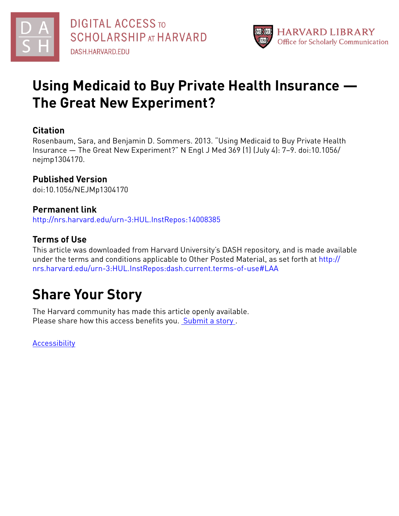



## **Using Medicaid to Buy Private Health Insurance — The Great New Experiment?**

#### **Citation**

Rosenbaum, Sara, and Benjamin D. Sommers. 2013. "Using Medicaid to Buy Private Health Insurance — The Great New Experiment?" N Engl J Med 369 (1) (July 4): 7–9. doi:10.1056/ nejmp1304170.

#### **Published Version**

doi:10.1056/NEJMp1304170

#### **Permanent link**

<http://nrs.harvard.edu/urn-3:HUL.InstRepos:14008385>

#### **Terms of Use**

This article was downloaded from Harvard University's DASH repository, and is made available under the terms and conditions applicable to Other Posted Material, as set forth at [http://](http://nrs.harvard.edu/urn-3:HUL.InstRepos:dash.current.terms-of-use#LAA) [nrs.harvard.edu/urn-3:HUL.InstRepos:dash.current.terms-of-use#LAA](http://nrs.harvard.edu/urn-3:HUL.InstRepos:dash.current.terms-of-use#LAA)

# **Share Your Story**

The Harvard community has made this article openly available. Please share how this access benefits you. [Submit](http://osc.hul.harvard.edu/dash/open-access-feedback?handle=&title=Using%20Medicaid%20to%20Buy%20Private%20Health%20Insurance%20%E2%80%94%20The%20Great%20New%20Experiment?&community=1/4454687&collection=1/4454688&owningCollection1/4454688&harvardAuthors=a99b17b58035749957ebe739f963c72f&department) a story .

**[Accessibility](https://dash.harvard.edu/pages/accessibility)**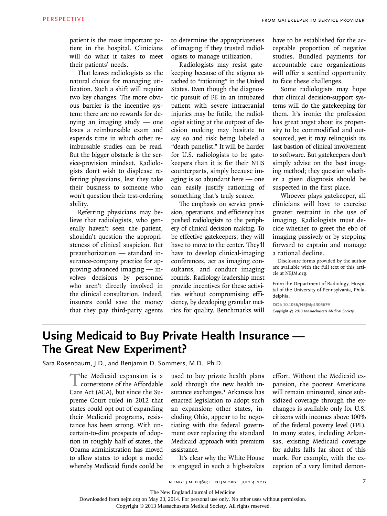patient is the most important patient in the hospital. Clinicians will do what it takes to meet their patients' needs.

That leaves radiologists as the natural choice for managing utilization. Such a shift will require two key changes. The more obvious barrier is the incentive system: there are no rewards for denying an imaging study — one loses a reimbursable exam and expends time in which other reimbursable studies can be read. But the bigger obstacle is the service-provision mindset. Radiologists don't wish to displease referring physicians, lest they take their business to someone who won't question their test-ordering ability.

Referring physicians may believe that radiologists, who generally haven't seen the patient, shouldn't question the appropriateness of clinical suspicion. But preauthorization — standard insurance-company practice for approving advanced imaging — involves decisions by personnel who aren't directly involved in the clinical consultation. Indeed, insurers could save the money that they pay third-party agents to determine the appropriateness of imaging if they trusted radiologists to manage utilization.

Radiologists may resist gatekeeping because of the stigma attached to "rationing" in the United States. Even though the diagnostic pursuit of PE in an intubated patient with severe intracranial injuries may be futile, the radiologist sitting at the outpost of decision making may hesitate to say so and risk being labeled a "death panelist." It will be harder for U.S. radiologists to be gatekeepers than it is for their NHS counterparts, simply because imaging is so abundant here — one can easily justify rationing of something that's truly scarce.

The emphasis on service provision, operations, and efficiency has pushed radiologists to the periphery of clinical decision making. To be effective gatekeepers, they will have to move to the center. They'll have to develop clinical-imaging conferences, act as imaging consultants, and conduct imaging rounds. Radiology leadership must provide incentives for these activities without compromising efficiency, by developing granular metrics for quality. Benchmarks will

have to be established for the acceptable proportion of negative studies. Bundled payments for accountable care organizations will offer a sentinel opportunity to face these challenges.

Some radiologists may hope that clinical decision-support systems will do the gatekeeping for them. It's ironic: the profession has great angst about its propensity to be commodified and outsourced, yet it may relinquish its last bastion of clinical involvement to software. But gatekeepers don't simply advise on the best imaging method; they question whether a given diagnosis should be suspected in the first place.

Whoever plays gatekeeper, all clinicians will have to exercise greater restraint in the use of imaging. Radiologists must decide whether to greet the ebb of imaging passively or by stepping forward to captain and manage a rational decline.

Disclosure forms provided by the author are available with the full text of this article at NEJM.org.

From the Department of Radiology, Hospital of the University of Pennsylvania, Philadelphia.

**DOI: 10.1056/NEJMp1305679** *Copyright © 2013 Massachusetts Medical Society.*

### **Using Medicaid to Buy Private Health Insurance — The Great New Experiment?**

Sara Rosenbaum, J.D., and Benjamin D. Sommers, M.D., Ph.D.

The Medicaid expansion is a cornerstone of the Affordable Care Act (ACA), but since the Supreme Court ruled in 2012 that states could opt out of expanding their Medicaid programs, resistance has been strong. With uncertain-to-dim prospects of adoption in roughly half of states, the Obama administration has moved to allow states to adopt a model whereby Medicaid funds could be

used to buy private health plans sold through the new health insurance exchanges.<sup>1</sup> Arkansas has enacted legislation to adopt such an expansion; other states, including Ohio, appear to be negotiating with the federal government over replacing the standard Medicaid approach with premium assistance.

It's clear why the White House is engaged in such a high-stakes effort. Without the Medicaid expansion, the poorest Americans will remain uninsured, since subsidized coverage through the exchanges is available only for U.S. citizens with incomes above 100% of the federal poverty level (FPL). In many states, including Arkansas, existing Medicaid coverage for adults falls far short of this mark. For example, with the exception of a very limited demon-

The New England Journal of Medicine

Downloaded from nejm.org on May 23, 2014. For personal use only. No other uses without permission.

Copyright © 2013 Massachusetts Medical Society. All rights reserved.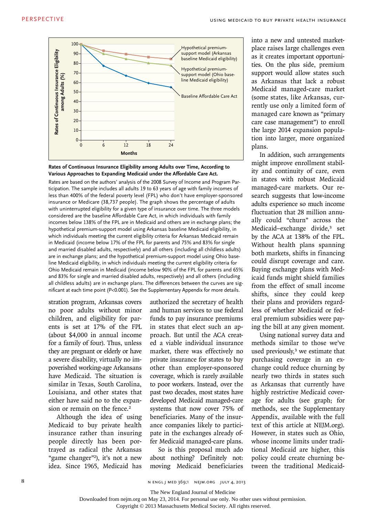



Rates are based on the authors' analysis of the 2008 Survey of Income and Program Participation. The sample includes all adults 19 to 63 years of age with family incomes of less than 400% of the federal poverty level (FPL) who don't have employer-sponsored insurance or Medicare (38,737 people). The graph shows the percentage of adults with uninterrupted eligibility for a given type of insurance over time. The three models considered are the baseline Affordable Care Act, in which individuals with family incomes below 138% of the FPL are in Medicaid and others are in exchange plans; the hypothetical premium-support model using Arkansas baseline Medicaid eligibility, in which individuals meeting the current eligibility criteria for Arkansas Medicaid remain in Medicaid (income below 17% of the FPL for parents and 75% and 83% for single and married disabled adults, respectively) and all others (including all childless adults) are in exchange plans; and the hypothetical premium-support model using Ohio baseline Medicaid eligibility, in which individuals meeting the current eligibility criteria for Ohio Medicaid remain in Medicaid (income below 90% of the FPL for parents and 65% and 83% for single and married disabled adults, respectively) and all others (including all childless adults) are in exchange plans. The differences between the curves are significant at each time point (P<0.001). See the Supplementary Appendix for more details.

stration program, Arkansas covers no poor adults without minor children, and eligibility for parents is set at 17% of the FPL (about \$4,000 in annual income for a family of four). Thus, unless they are pregnant or elderly or have a severe disability, virtually no impoverished working-age Arkansans have Medicaid. The situation is similar in Texas, South Carolina, Louisiana, and other states that either have said no to the expansion or remain on the fence.<sup>2</sup>

Although the idea of using Medicaid to buy private health insurance rather than insuring people directly has been portrayed as radical (the Arkansas "game changer"<sup>2</sup>), it's not a new idea. Since 1965, Medicaid has

authorized the secretary of health and human services to use federal funds to pay insurance premiums in states that elect such an approach. But until the ACA created a viable individual insurance market, there was effectively no private insurance for states to buy other than employer-sponsored coverage, which is rarely available to poor workers. Instead, over the past two decades, most states have developed Medicaid managed-care systems that now cover 75% of beneficiaries. Many of the insurance companies likely to participate in the exchanges already offer Medicaid managed-care plans.

So is this proposal much ado about nothing? Definitely not: moving Medicaid beneficiaries into a new and untested marketplace raises large challenges even as it creates important opportunities. On the plus side, premium support would allow states such as Arkansas that lack a robust Medicaid managed-care market (some states, like Arkansas, currently use only a limited form of managed care known as "primary care case management") to enroll the large 2014 expansion population into larger, more organized plans.

In addition, such arrangements might improve enrollment stability and continuity of care, even in states with robust Medicaid managed-care markets. Our research suggests that low-income adults experience so much income fluctuation that 28 million annually could "churn" across the Medicaid–exchange divide,<sup>3</sup> set by the ACA at 138% of the FPL. Without health plans spanning both markets, shifts in financing could disrupt coverage and care. Buying exchange plans with Medicaid funds might shield families from the effect of small income shifts, since they could keep their plans and providers regardless of whether Medicaid or federal premium subsidies were paying the bill at any given moment.

Using national survey data and methods similar to those we've used previously,<sup>3</sup> we estimate that purchasing coverage in an exchange could reduce churning by nearly two thirds in states such as Arkansas that currently have highly restrictive Medicaid coverage for adults (see graph; for methods, see the Supplementary Appendix, available with the full text of this article at NEJM.org). However, in states such as Ohio, whose income limits under traditional Medicaid are higher, this policy could create churning between the traditional Medicaid-

The New England Journal of Medicine

Copyright © 2013 Massachusetts Medical Society. All rights reserved.